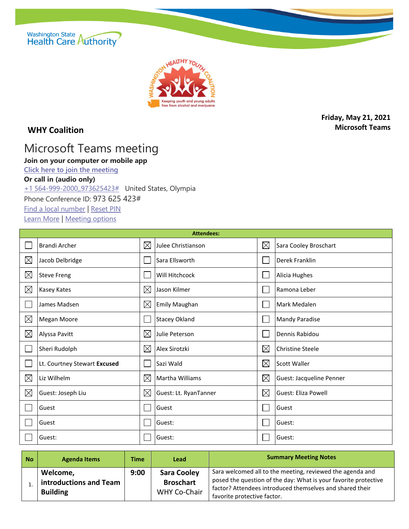



## **WHY Coalition**

**Friday, May 21, 2021 Microsoft Teams**

## Microsoft Teams meeting

## **Join on your computer or mobile app**

**[Click here to join the meeting](https://teams.microsoft.com/l/meetup-join/19%3ameeting_YmY0MzM4N2ItYjdiZi00MTM1LWE3MWMtMTIwYjFlNTI0MmFk%40thread.v2/0?context=%7b%22Tid%22%3a%2211d0e217-264e-400a-8ba0-57dcc127d72d%22%2c%22Oid%22%3a%226617e925-bfa8-4690-986d-51b65e5feac9%22%7d)**

## **Or call in (audio only)**

[+1 564-999-2000,,973625423#](tel:+15649992000,,973625423# ) United States, Olympia

Phone Conference ID: 973 625 423#

[Find a local number](https://dialin.teams.microsoft.com/811a9140-4f87-4b3b-b4e5-c0df12d33f3f?id=973625423) | [Reset PIN](https://mysettings.lync.com/pstnconferencing)

[Learn More](https://aka.ms/JoinTeamsMeeting) | [Meeting options](https://teams.microsoft.com/meetingOptions/?organizerId=6617e925-bfa8-4690-986d-51b65e5feac9&tenantId=11d0e217-264e-400a-8ba0-57dcc127d72d&threadId=19_meeting_YmY0MzM4N2ItYjdiZi00MTM1LWE3MWMtMTIwYjFlNTI0MmFk@thread.v2&messageId=0&language=en-US)

| <b>Attendees:</b> |                              |             |                       |             |                          |  |
|-------------------|------------------------------|-------------|-----------------------|-------------|--------------------------|--|
|                   | <b>Brandi Archer</b>         | $\boxtimes$ | Julee Christianson    | $\boxtimes$ | Sara Cooley Broschart    |  |
| $\boxtimes$       | Jacob Delbridge              |             | Sara Ellsworth        |             | Derek Franklin           |  |
| $\boxtimes$       | <b>Steve Freng</b>           |             | Will Hitchcock        |             | Alicia Hughes            |  |
| $\boxtimes$       | Kasey Kates                  | $\boxtimes$ | Jason Kilmer          |             | Ramona Leber             |  |
|                   | James Madsen                 | $\boxtimes$ | <b>Emily Maughan</b>  |             | Mark Medalen             |  |
| $\boxtimes$       | Megan Moore                  |             | <b>Stacey Okland</b>  |             | <b>Mandy Paradise</b>    |  |
| $\boxtimes$       | Alyssa Pavitt                | $\boxtimes$ | Julie Peterson        |             | Dennis Rabidou           |  |
|                   | Sheri Rudolph                | $\boxtimes$ | Alex Sirotzki         | $\boxtimes$ | <b>Christine Steele</b>  |  |
|                   | Lt. Courtney Stewart Excused |             | Sazi Wald             | $\boxtimes$ | <b>Scott Waller</b>      |  |
| $\boxtimes$       | Liz Wilhelm                  | $\boxtimes$ | Martha Williams       | $\boxtimes$ | Guest: Jacqueline Penner |  |
| $\boxtimes$       | Guest: Joseph Liu            | $\boxtimes$ | Guest: Lt. RyanTanner | $\boxtimes$ | Guest: Eliza Powell      |  |
|                   | Guest                        |             | Guest                 |             | Guest                    |  |
|                   | Guest                        |             | Guest:                |             | Guest:                   |  |
|                   | Guest:                       |             | Guest:                |             | Guest:                   |  |

| <b>No</b> | <b>Agenda Items</b>                                   | <b>Time</b> | <b>Lead</b>                                            | <b>Summary Meeting Notes</b>                                                                                                                                                                                            |
|-----------|-------------------------------------------------------|-------------|--------------------------------------------------------|-------------------------------------------------------------------------------------------------------------------------------------------------------------------------------------------------------------------------|
|           | Welcome,<br>introductions and Team<br><b>Building</b> | 9:00        | <b>Sara Cooley</b><br><b>Broschart</b><br>WHY Co-Chair | Sara welcomed all to the meeting, reviewed the agenda and<br>posed the question of the day: What is your favorite protective<br>factor? Attendees introduced themselves and shared their<br>favorite protective factor. |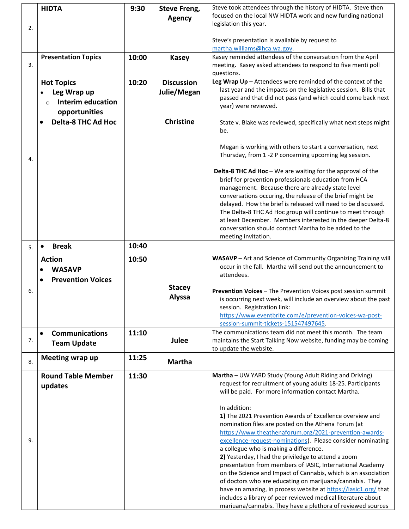|    | <b>HIDTA</b>                                                        | 9:30  | <b>Steve Freng,</b><br><b>Agency</b> | Steve took attendees through the history of HIDTA. Steve then<br>focused on the local NW HIDTA work and new funding national                                                                                                                                                                                                                                                                                                                                                                                         |  |  |  |
|----|---------------------------------------------------------------------|-------|--------------------------------------|----------------------------------------------------------------------------------------------------------------------------------------------------------------------------------------------------------------------------------------------------------------------------------------------------------------------------------------------------------------------------------------------------------------------------------------------------------------------------------------------------------------------|--|--|--|
| 2. |                                                                     |       |                                      | legislation this year.                                                                                                                                                                                                                                                                                                                                                                                                                                                                                               |  |  |  |
|    |                                                                     |       |                                      | Steve's presentation is available by request to<br>martha.williams@hca.wa.gov.                                                                                                                                                                                                                                                                                                                                                                                                                                       |  |  |  |
| 3. | <b>Presentation Topics</b>                                          | 10:00 | <b>Kasey</b>                         | Kasey reminded attendees of the conversation from the April<br>meeting. Kasey asked attendees to respond to five menti poll<br>questions.                                                                                                                                                                                                                                                                                                                                                                            |  |  |  |
|    | <b>Hot Topics</b>                                                   | 10:20 | <b>Discussion</b>                    | Leg Wrap Up - Attendees were reminded of the context of the                                                                                                                                                                                                                                                                                                                                                                                                                                                          |  |  |  |
|    | Leg Wrap up<br><b>Interim education</b><br>$\circ$<br>opportunities |       | Julie/Megan                          | last year and the impacts on the legislative session. Bills that<br>passed and that did not pass (and which could come back next<br>year) were reviewed.                                                                                                                                                                                                                                                                                                                                                             |  |  |  |
|    | <b>Delta-8 THC Ad Hoc</b>                                           |       | <b>Christine</b>                     | State v. Blake was reviewed, specifically what next steps might<br>be.                                                                                                                                                                                                                                                                                                                                                                                                                                               |  |  |  |
| 4. |                                                                     |       |                                      | Megan is working with others to start a conversation, next<br>Thursday, from 1-2 P concerning upcoming leg session.                                                                                                                                                                                                                                                                                                                                                                                                  |  |  |  |
|    |                                                                     |       |                                      | Delta-8 THC Ad Hoc - We are waiting for the approval of the<br>brief for prevention professionals education from HCA<br>management. Because there are already state level<br>conversations occuring, the release of the brief might be<br>delayed. How the brief is released will need to be discussed.<br>The Delta-8 THC Ad Hoc group will continue to meet through<br>at least December. Members interested in the deeper Delta-8<br>conversation should contact Martha to be added to the<br>meeting invitation. |  |  |  |
| 5. | <b>Break</b><br>$\bullet$                                           | 10:40 |                                      |                                                                                                                                                                                                                                                                                                                                                                                                                                                                                                                      |  |  |  |
|    | <b>Action</b><br><b>WASAVP</b><br><b>Prevention Voices</b>          | 10:50 |                                      | WASAVP - Art and Science of Community Organizing Training will<br>occur in the fall. Martha will send out the announcement to<br>attendees.                                                                                                                                                                                                                                                                                                                                                                          |  |  |  |
| 6. |                                                                     |       | <b>Stacey</b><br><b>Alyssa</b>       | Prevention Voices - The Prevention Voices post session summit<br>is occurring next week, will include an overview about the past<br>session. Registration link:<br>https://www.eventbrite.com/e/prevention-voices-wa-post-<br>session-summit-tickets-151547497645.                                                                                                                                                                                                                                                   |  |  |  |
| 7. | <b>Communications</b><br>$\bullet$<br><b>Team Update</b>            | 11:10 | Julee                                | The communications team did not meet this month. The team<br>maintains the Start Talking Now website, funding may be coming                                                                                                                                                                                                                                                                                                                                                                                          |  |  |  |
| 8. | Meeting wrap up                                                     | 11:25 | <b>Martha</b>                        | to update the website.                                                                                                                                                                                                                                                                                                                                                                                                                                                                                               |  |  |  |
|    | <b>Round Table Member</b>                                           | 11:30 |                                      | Martha - UW YARD Study (Young Adult Riding and Driving)                                                                                                                                                                                                                                                                                                                                                                                                                                                              |  |  |  |
|    | updates                                                             |       |                                      | request for recruitment of young adults 18-25. Participants<br>will be paid. For more information contact Martha.                                                                                                                                                                                                                                                                                                                                                                                                    |  |  |  |
|    |                                                                     |       |                                      | In addition:<br>1) The 2021 Prevention Awards of Excellence overview and                                                                                                                                                                                                                                                                                                                                                                                                                                             |  |  |  |
|    |                                                                     |       |                                      | nomination files are posted on the Athena Forum (at                                                                                                                                                                                                                                                                                                                                                                                                                                                                  |  |  |  |
| 9. |                                                                     |       |                                      | https://www.theathenaforum.org/2021-prevention-awards-<br>excellence-request-nominations). Please consider nominating                                                                                                                                                                                                                                                                                                                                                                                                |  |  |  |
|    |                                                                     |       |                                      | a collegue who is making a difference.                                                                                                                                                                                                                                                                                                                                                                                                                                                                               |  |  |  |
|    |                                                                     |       |                                      | 2) Yesterday, I had the priviledge to attend a zoom<br>presentation from members of IASIC, International Academy                                                                                                                                                                                                                                                                                                                                                                                                     |  |  |  |
|    |                                                                     |       |                                      | on the Science and Impact of Cannabis, which is an association                                                                                                                                                                                                                                                                                                                                                                                                                                                       |  |  |  |
|    |                                                                     |       |                                      | of doctors who are educating on marijuana/cannabis. They<br>have an amazing, in process website at https://iasic1.org/ that                                                                                                                                                                                                                                                                                                                                                                                          |  |  |  |
|    |                                                                     |       |                                      | includes a library of peer reviewed medical literature about                                                                                                                                                                                                                                                                                                                                                                                                                                                         |  |  |  |
|    |                                                                     |       |                                      | mariuana/cannabis. They have a plethora of reviewed sources                                                                                                                                                                                                                                                                                                                                                                                                                                                          |  |  |  |